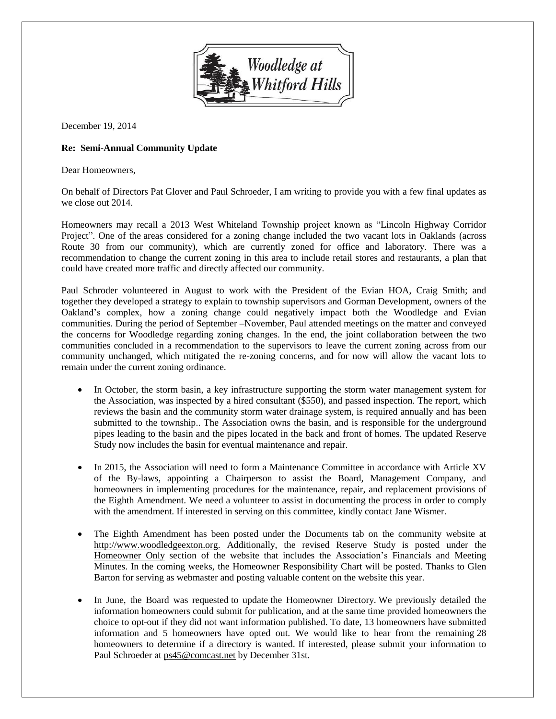

December 19, 2014

## **Re: Semi-Annual Community Update**

Dear Homeowners,

On behalf of Directors Pat Glover and Paul Schroeder, I am writing to provide you with a few final updates as we close out 2014.

Homeowners may recall a 2013 West Whiteland Township project known as "Lincoln Highway Corridor Project". One of the areas considered for a zoning change included the two vacant lots in Oaklands (across Route 30 from our community), which are currently zoned for office and laboratory. There was a recommendation to change the current zoning in this area to include retail stores and restaurants, a plan that could have created more traffic and directly affected our community.

Paul Schroder volunteered in August to work with the President of the Evian HOA, Craig Smith; and together they developed a strategy to explain to township supervisors and Gorman Development, owners of the Oakland's complex, how a zoning change could negatively impact both the Woodledge and Evian communities. During the period of September –November, Paul attended meetings on the matter and conveyed the concerns for Woodledge regarding zoning changes. In the end, the joint collaboration between the two communities concluded in a recommendation to the supervisors to leave the current zoning across from our community unchanged, which mitigated the re-zoning concerns, and for now will allow the vacant lots to remain under the current zoning ordinance.

- In October, the storm basin, a key infrastructure supporting the storm water management system for the Association, was inspected by a hired consultant (\$550), and passed inspection. The report, which reviews the basin and the community storm water drainage system, is required annually and has been submitted to the township.. The Association owns the basin, and is responsible for the underground pipes leading to the basin and the pipes located in the back and front of homes. The updated Reserve Study now includes the basin for eventual maintenance and repair.
- In 2015, the Association will need to form a Maintenance Committee in accordance with Article XV of the By-laws, appointing a Chairperson to assist the Board, Management Company, and homeowners in implementing procedures for the maintenance, repair, and replacement provisions of the Eighth Amendment. We need a volunteer to assist in documenting the process in order to comply with the amendment. If interested in serving on this committee, kindly contact Jane Wismer.
- The Eighth Amendment has been posted under the Documents tab on the community website at http://www.woodledgeexton.org. Additionally, the revised Reserve Study is posted under the Homeowner Only section of the website that includes the Association's Financials and Meeting Minutes. In the coming weeks, the Homeowner Responsibility Chart will be posted. Thanks to Glen Barton for serving as webmaster and posting valuable content on the website this year.
- In June, the Board was requested to update the Homeowner Directory. We previously detailed the information homeowners could submit for publication, and at the same time provided homeowners the choice to opt-out if they did not want information published. To date, 13 homeowners have submitted information and 5 homeowners have opted out. We would like to hear from the remaining 28 homeowners to determine if a directory is wanted. If interested, please submit your information to Paul Schroeder at ps45@comcast.net by December 31st.